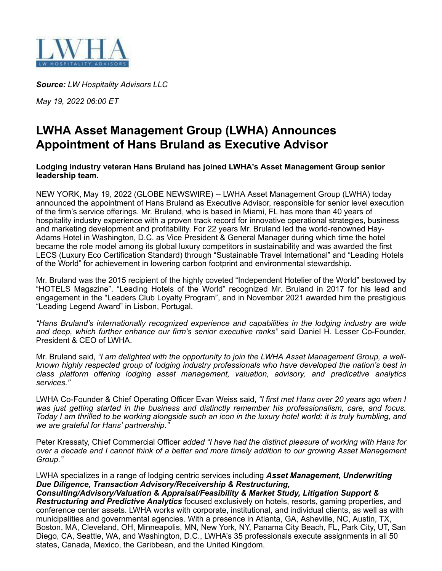

*Source: LW Hospitality Advisors LLC*

*May 19, 2022 06:00 ET*

## **LWHA Asset Management Group (LWHA) Announces Appointment of Hans Bruland as Executive Advisor**

## **Lodging industry veteran Hans Bruland has joined LWHA's Asset Management Group senior leadership team.**

NEW YORK, May 19, 2022 (GLOBE NEWSWIRE) -- LWHA Asset Management Group (LWHA) today announced the appointment of Hans Bruland as Executive Advisor, responsible for senior level execution of the firm's service offerings. Mr. Bruland, who is based in Miami, FL has more than 40 years of hospitality industry experience with a proven track record for innovative operational strategies, business and marketing development and profitability. For 22 years Mr. Bruland led the world-renowned Hay-Adams Hotel in Washington, D.C. as Vice President & General Manager during which time the hotel became the role model among its global luxury competitors in sustainability and was awarded the first LECS (Luxury Eco Certification Standard) through "Sustainable Travel International" and "Leading Hotels of the World" for achievement in lowering carbon footprint and environmental stewardship.

Mr. Bruland was the 2015 recipient of the highly coveted "Independent Hotelier of the World" bestowed by "HOTELS Magazine". "Leading Hotels of the World" recognized Mr. Bruland in 2017 for his lead and engagement in the "Leaders Club Loyalty Program", and in November 2021 awarded him the prestigious "Leading Legend Award" in Lisbon, Portugal.

*"Hans Bruland's internationally recognized experience and capabilities in the lodging industry are wide and deep, which further enhance our firm's senior executive ranks"* said Daniel H. Lesser Co-Founder, President & CEO of LWHA.

Mr. Bruland said, *"I am delighted with the opportunity to join the LWHA Asset Management Group, a wellknown highly respected group of lodging industry professionals who have developed the nation's best in class platform offering lodging asset management, valuation, advisory, and predicative analytics services."*

LWHA Co-Founder & Chief Operating Officer Evan Weiss said, *"I first met Hans over 20 years ago when I was just getting started in the business and distinctly remember his professionalism, care, and focus.* Today I am thrilled to be working alongside such an icon in the luxury hotel world; it is truly humbling, and *we are grateful for Hans' partnership."*

Peter Kressaty, Chief Commercial Officer *added "I have had the distinct pleasure of working with Hans for* over a decade and I cannot think of a better and more timely addition to our growing Asset Management *Group."*

## LWHA specializes in a range of lodging centric services including *Asset Management, Underwriting Due Diligence, Transaction Advisory/Receivership & Restructuring,*

*Consulting/Advisory/Valuation & Appraisal/Feasibility & Market Study, Litigation Support & Restructuring and Predictive Analytics* focused exclusively on hotels, resorts, gaming properties, and conference center assets. LWHA works with corporate, institutional, and individual clients, as well as with municipalities and governmental agencies. With a presence in Atlanta, GA, Asheville, NC, Austin, TX, Boston, MA, Cleveland, OH, Minneapolis, MN, New York, NY, Panama City Beach, FL, Park City, UT, San Diego, CA, Seattle, WA, and Washington, D.C., LWHA's 35 professionals execute assignments in all 50 states, Canada, Mexico, the Caribbean, and the United Kingdom.